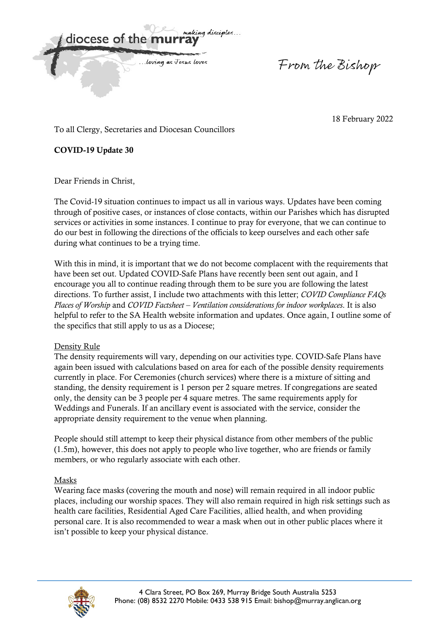malejna discimles diocese of the m ... loving as Jesus loves

From the Bishop

18 February 2022

To all Clergy, Secretaries and Diocesan Councillors

**COVID-19 Update 30** 

Dear Friends in Christ,

The Covid-19 situation continues to impact us all in various ways. Updates have been coming through of positive cases, or instances of close contacts, within our Parishes which has disrupted services or activities in some instances. I continue to pray for everyone, that we can continue to do our best in following the directions of the officials to keep ourselves and each other safe during what continues to be a trying time.

With this in mind, it is important that we do not become complacent with the requirements that have been set out. Updated COVID-Safe Plans have recently been sent out again, and I encourage you all to continue reading through them to be sure you are following the latest directions. To further assist, I include two attachments with this letter; *COVID Compliance FAQs Places of Worship* and *COVID Factsheet – Ventilation considerations for indoor workplaces*. It is also helpful to refer to the SA Health website information and updates. Once again, I outline some of the specifics that still apply to us as a Diocese;

## Density Rule

The density requirements will vary, depending on our activities type. COVID-Safe Plans have again been issued with calculations based on area for each of the possible density requirements currently in place. For Ceremonies (church services) where there is a mixture of sitting and standing, the density requirement is 1 person per 2 square metres. If congregations are seated only, the density can be 3 people per 4 square metres. The same requirements apply for Weddings and Funerals. If an ancillary event is associated with the service, consider the appropriate density requirement to the venue when planning.

People should still attempt to keep their physical distance from other members of the public (1.5m), however, this does not apply to people who live together, who are friends or family members, or who regularly associate with each other.

# Masks

Wearing face masks (covering the mouth and nose) will remain required in all indoor public places, including our worship spaces. They will also remain required in high risk settings such as health care facilities, Residential Aged Care Facilities, allied health, and when providing personal care. It is also recommended to wear a mask when out in other public places where it isn't possible to keep your physical distance.

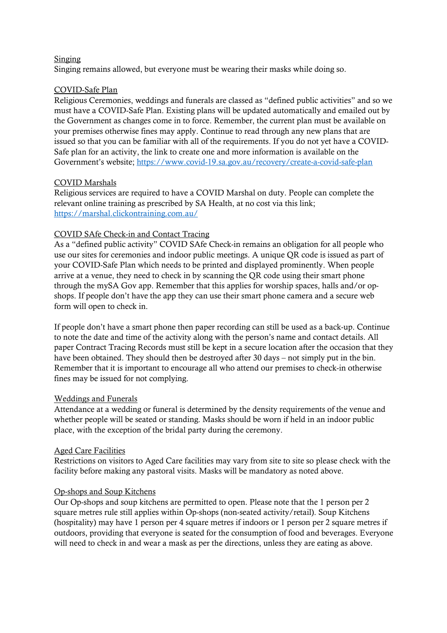#### Singing

Singing remains allowed, but everyone must be wearing their masks while doing so.

# COVID-Safe Plan

Religious Ceremonies, weddings and funerals are classed as "defined public activities" and so we must have a COVID-Safe Plan. Existing plans will be updated automatically and emailed out by the Government as changes come in to force. Remember, the current plan must be available on your premises otherwise fines may apply. Continue to read through any new plans that are issued so that you can be familiar with all of the requirements. If you do not yet have a COVID-Safe plan for an activity, the link to create one and more information is available on the Government's website; https://www.covid-19.sa.gov.au/recovery/create-a-covid-safe-plan

## COVID Marshals

Religious services are required to have a COVID Marshal on duty. People can complete the relevant online training as prescribed by SA Health, at no cost via this link; https://marshal.clickontraining.com.au/

## COVID SAfe Check-in and Contact Tracing

As a "defined public activity" COVID SAfe Check-in remains an obligation for all people who use our sites for ceremonies and indoor public meetings. A unique QR code is issued as part of your COVID-Safe Plan which needs to be printed and displayed prominently. When people arrive at a venue, they need to check in by scanning the QR code using their smart phone through the mySA Gov app. Remember that this applies for worship spaces, halls and/or opshops. If people don't have the app they can use their smart phone camera and a secure web form will open to check in.

If people don't have a smart phone then paper recording can still be used as a back-up. Continue to note the date and time of the activity along with the person's name and contact details. All paper Contract Tracing Records must still be kept in a secure location after the occasion that they have been obtained. They should then be destroyed after 30 days – not simply put in the bin. Remember that it is important to encourage all who attend our premises to check-in otherwise fines may be issued for not complying.

## Weddings and Funerals

Attendance at a wedding or funeral is determined by the density requirements of the venue and whether people will be seated or standing. Masks should be worn if held in an indoor public place, with the exception of the bridal party during the ceremony.

## Aged Care Facilities

Restrictions on visitors to Aged Care facilities may vary from site to site so please check with the facility before making any pastoral visits. Masks will be mandatory as noted above.

## Op-shops and Soup Kitchens

Our Op-shops and soup kitchens are permitted to open. Please note that the 1 person per 2 square metres rule still applies within Op-shops (non-seated activity/retail). Soup Kitchens (hospitality) may have 1 person per 4 square metres if indoors or 1 person per 2 square metres if outdoors, providing that everyone is seated for the consumption of food and beverages. Everyone will need to check in and wear a mask as per the directions, unless they are eating as above.